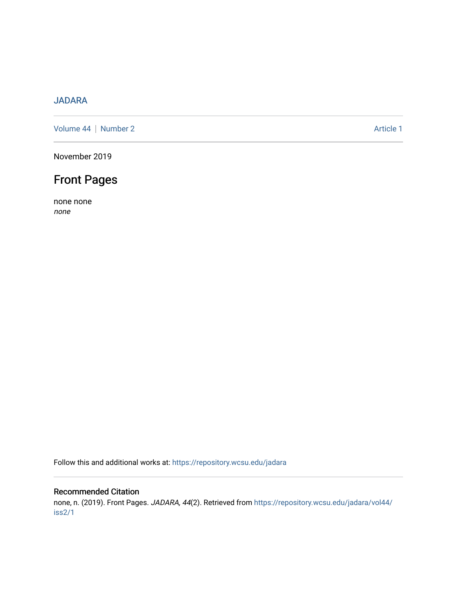## [JADARA](https://repository.wcsu.edu/jadara)

[Volume 44](https://repository.wcsu.edu/jadara/vol44) | [Number 2](https://repository.wcsu.edu/jadara/vol44/iss2) Article 1

November 2019

## Front Pages

none none none

Follow this and additional works at: [https://repository.wcsu.edu/jadara](https://repository.wcsu.edu/jadara?utm_source=repository.wcsu.edu%2Fjadara%2Fvol44%2Fiss2%2F1&utm_medium=PDF&utm_campaign=PDFCoverPages)

## Recommended Citation

none, n. (2019). Front Pages. JADARA, 44(2). Retrieved from [https://repository.wcsu.edu/jadara/vol44/](https://repository.wcsu.edu/jadara/vol44/iss2/1?utm_source=repository.wcsu.edu%2Fjadara%2Fvol44%2Fiss2%2F1&utm_medium=PDF&utm_campaign=PDFCoverPages) [iss2/1](https://repository.wcsu.edu/jadara/vol44/iss2/1?utm_source=repository.wcsu.edu%2Fjadara%2Fvol44%2Fiss2%2F1&utm_medium=PDF&utm_campaign=PDFCoverPages)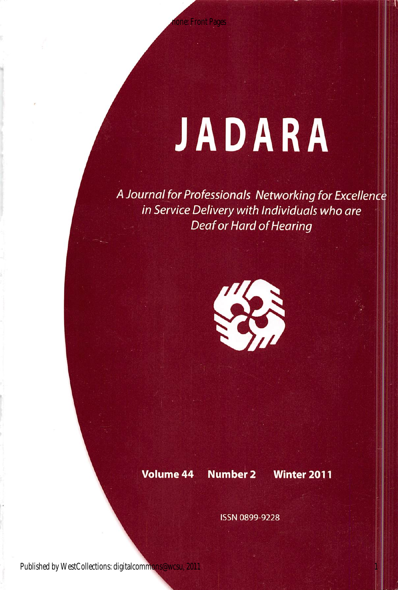# JADARA

A Journal for Professionals Networking for Excellence in Service Delivery with Individuals who are Deaf or Hard of Hearing



## Volume 44 Number 2 Winter 2011

1

ISSN 0899-9228

Published by WestCollections: digitalcommons@wcsu, 2011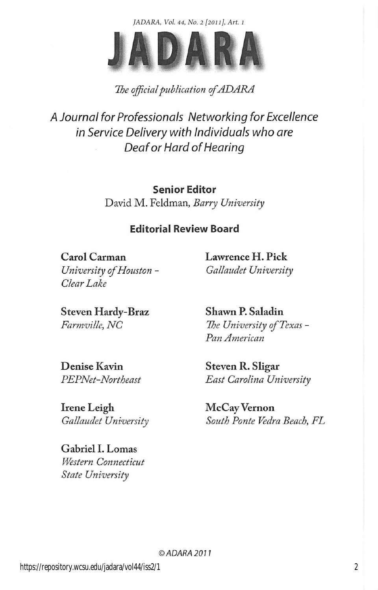*JADARA, Vol. 44, No. 2 [2011], Art. 1*



## The official publication of ADARA

A Journal for Professionals Networking for Excellence in Service Delivery with Individuals who are Deaf or Hard of Hearing

> Senior Editor David M. Feldman, Barry University

## Editorial Review Board

Carol Carman University of Houston - Clear Lake

Lawrence H. Pick Gallaudet University

Steven Hardy-Braz Farmville, NC

Shawn P. Saladin The University of Texas - Pan American

Denise Kavin PEPNet-Northeast

Irene Leigh Gallaudet University

Gabriel 1. Lomas Western Connecticut State University

Steven R. Sligar East Carolina University

McCay Vernon South Ponte Vedra Beach, FL